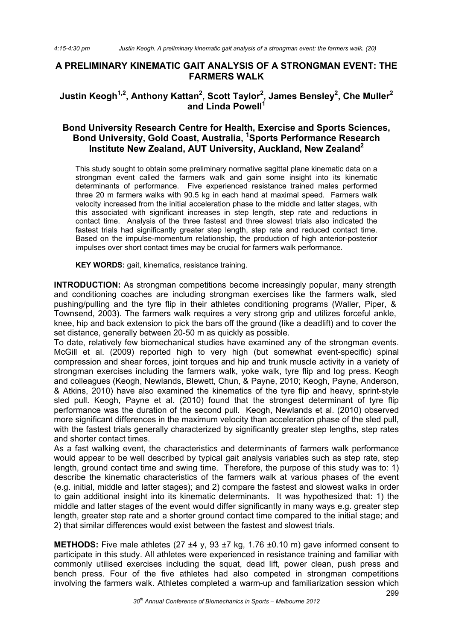## **A PRELIMINARY KINEMATIC GAIT ANALYSIS OF A STRONGMAN EVENT: THE FARMERS WALK**

# Justin Keogh<sup>1,2</sup>, Anthony Kattan<sup>2</sup>, Scott Taylor<sup>2</sup>, James Bensley<sup>2</sup>, Che Muller<sup>2</sup> and Linda Powell<sup>1</sup>

# **Bond University Research Centre for Health, Exercise and Sports Sciences, Bond University, Gold Coast, Australia, 1 Sports Performance Research Institute New Zealand, AUT University, Auckland, New Zealand2**

This study sought to obtain some preliminary normative sagittal plane kinematic data on a strongman event called the farmers walk and gain some insight into its kinematic determinants of performance. Five experienced resistance trained males performed three 20 m farmers walks with 90.5 kg in each hand at maximal speed. Farmers walk velocity increased from the initial acceleration phase to the middle and latter stages, with this associated with significant increases in step length, step rate and reductions in contact time. Analysis of the three fastest and three slowest trials also indicated the fastest trials had significantly greater step length, step rate and reduced contact time. Based on the impulse-momentum relationship, the production of high anterior-posterior impulses over short contact times may be crucial for farmers walk performance.

**KEY WORDS:** gait, kinematics, resistance training.

**INTRODUCTION:** As strongman competitions become increasingly popular, many strength and conditioning coaches are including strongman exercises like the farmers walk, sled pushing/pulling and the tyre flip in their athletes conditioning programs (Waller, Piper, & Townsend, 2003). The farmers walk requires a very strong grip and utilizes forceful ankle, knee, hip and back extension to pick the bars off the ground (like a deadlift) and to cover the set distance, generally between 20-50 m as quickly as possible.

To date, relatively few biomechanical studies have examined any of the strongman events. McGill et al. (2009) reported high to very high (but somewhat event-specific) spinal compression and shear forces, joint torques and hip and trunk muscle activity in a variety of strongman exercises including the farmers walk, yoke walk, tyre flip and log press. Keogh and colleagues (Keogh, Newlands, Blewett, Chun, & Payne, 2010; Keogh, Payne, Anderson, & Atkins, 2010) have also examined the kinematics of the tyre flip and heavy, sprint-style sled pull. Keogh, Payne et al. (2010) found that the strongest determinant of tyre flip performance was the duration of the second pull. Keogh, Newlands et al. (2010) observed more significant differences in the maximum velocity than acceleration phase of the sled pull, with the fastest trials generally characterized by significantly greater step lengths, step rates and shorter contact times.

As a fast walking event, the characteristics and determinants of farmers walk performance would appear to be well described by typical gait analysis variables such as step rate, step length, ground contact time and swing time. Therefore, the purpose of this study was to: 1) describe the kinematic characteristics of the farmers walk at various phases of the event (e.g. initial, middle and latter stages); and 2) compare the fastest and slowest walks in order to gain additional insight into its kinematic determinants. It was hypothesized that: 1) the middle and latter stages of the event would differ significantly in many ways e.g. greater step length, greater step rate and a shorter ground contact time compared to the initial stage; and 2) that similar differences would exist between the fastest and slowest trials.

**METHODS:** Five male athletes (27 ±4 y, 93 ±7 kg, 1.76 ±0.10 m) gave informed consent to participate in this study. All athletes were experienced in resistance training and familiar with commonly utilised exercises including the squat, dead lift, power clean, push press and bench press. Four of the five athletes had also competed in strongman competitions involving the farmers walk. Athletes completed a warm-up and familiarization session which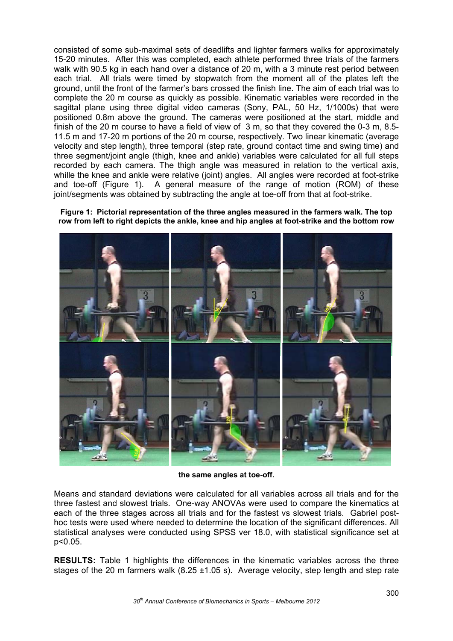consisted of some sub-maximal sets of deadlifts and lighter farmers walks for approximately 15-20 minutes. After this was completed, each athlete performed three trials of the farmers walk with 90.5 kg in each hand over a distance of 20 m, with a 3 minute rest period between each trial. All trials were timed by stopwatch from the moment all of the plates left the ground, until the front of the farmer's bars crossed the finish line. The aim of each trial was to complete the 20 m course as quickly as possible. Kinematic variables were recorded in the sagittal plane using three digital video cameras (Sony, PAL, 50 Hz, 1/1000s) that were positioned 0.8m above the ground. The cameras were positioned at the start, middle and finish of the 20 m course to have a field of view of 3 m, so that they covered the 0-3 m, 8.5- 11.5 m and 17-20 m portions of the 20 m course, respectively. Two linear kinematic (average velocity and step length), three temporal (step rate, ground contact time and swing time) and three segment/joint angle (thigh, knee and ankle) variables were calculated for all full steps recorded by each camera. The thigh angle was measured in relation to the vertical axis, whille the knee and ankle were relative (joint) angles. All angles were recorded at foot-strike and toe-off (Figure 1). A general measure of the range of motion (ROM) of these joint/segments was obtained by subtracting the angle at toe-off from that at foot-strike.

**Figure 1: Pictorial representation of the three angles measured in the farmers walk. The top row from left to right depicts the ankle, knee and hip angles at foot-strike and the bottom row** 



**the same angles at toe-off.**

Means and standard deviations were calculated for all variables across all trials and for the three fastest and slowest trials. One-way ANOVAs were used to compare the kinematics at each of the three stages across all trials and for the fastest vs slowest trials. Gabriel posthoc tests were used where needed to determine the location of the significant differences. All statistical analyses were conducted using SPSS ver 18.0, with statistical significance set at p<0.05.

**RESULTS:** Table 1 highlights the differences in the kinematic variables across the three stages of the 20 m farmers walk  $(8.25 \pm 1.05 \text{ s})$ . Average velocity, step length and step rate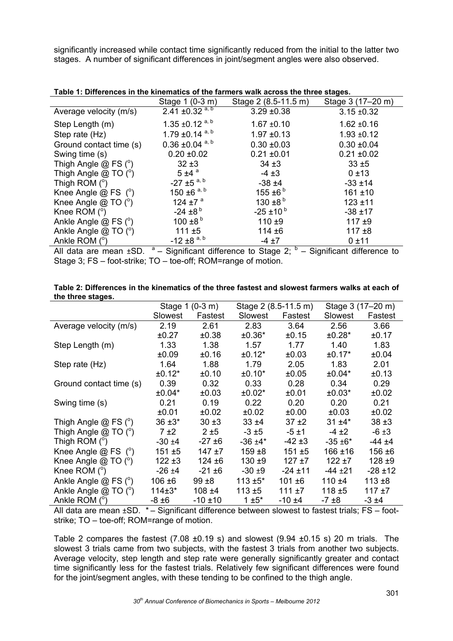significantly increased while contact time significantly reduced from the initial to the latter two stages. A number of significant differences in joint/segment angles were also observed.

## **Table 1: Differences in the kinematics of the farmers walk across the three stages.**

|                          | Stage 1 (0-3 m)                 | Stage 2 (8.5-11.5 m)     | Stage 3 (17–20 m) |  |
|--------------------------|---------------------------------|--------------------------|-------------------|--|
| Average velocity (m/s)   | 2.41 ±0.32 $a, b$               | $3.29 \pm 0.38$          | $3.15 \pm 0.32$   |  |
| Step Length (m)          | 1.35 $\pm$ 0.12 <sup>a, b</sup> | $1.67 + 0.10$            | $1.62 \pm 0.16$   |  |
| Step rate (Hz)           | 1.79 $\pm$ 0.14 a, b            | $1.97 + 0.13$            | $1.93 + 0.12$     |  |
| Ground contact time (s)  | $0.36 \pm 0.04$ <sup>a, b</sup> | $0.30 \pm 0.03$          | $0.30 \pm 0.04$   |  |
| Swing time (s)           | $0.20 \pm 0.02$                 | $0.21 \pm 0.01$          | $0.21 \pm 0.02$   |  |
| Thigh Angle $@$ FS $(°)$ | $32 + 3$                        | $34 + 3$                 | $33 + 5$          |  |
| Thigh Angle $@$ TO $(°)$ | $5 \pm 4$ <sup>a</sup>          | $-4 \pm 3$               | 0±13              |  |
| Thigh ROM $(^\circ)$     | $-27 \pm 5$ <sup>a, b</sup>     | $-38 + 4$                | $-33 \pm 14$      |  |
| Knee Angle $@$ FS $(°)$  | 150 ±6 $a, b$                   | 155 ±6 $b$               | $161 + 10$        |  |
| Knee Angle $@$ TO $(°)$  | 124 ±7 $a$                      | 130 $\pm$ 8 <sup>b</sup> | $123 + 11$        |  |
| Knee ROM $(^\circ)$      | $-24 \pm 8^{b}$                 | $-25 \pm 10^{b}$         | $-38 + 17$        |  |
| Ankle Angle @ FS (°)     | 100 $\pm$ 8 <sup>b</sup>        | 110 $±9$                 | $117 + 9$         |  |
| Ankle Angle $@$ TO $(°)$ | $111 \pm 5$                     | $114 + 6$                | $117 + 8$         |  |
| Ankle ROM $(°)$          | $-12 \pm 8$ <sup>a, b</sup>     | $-4 \pm 7$               | 0±11              |  |

All data are mean  $\pm$ SD.  $a -$  Significant difference to Stage 2;  $b -$  Significant difference to Stage 3; FS – foot-strike; TO – toe-off; ROM=range of motion.

| Table 2: Differences in the kinematics of the three fastest and slowest farmers walks at each of |  |
|--------------------------------------------------------------------------------------------------|--|
| the three stages.                                                                                |  |

|                          | Stage 1 (0-3 m) |              | Stage 2 (8.5-11.5 m) |             | Stage 3 (17–20 m) |              |
|--------------------------|-----------------|--------------|----------------------|-------------|-------------------|--------------|
|                          | Slowest         | Fastest      | Slowest              | Fastest     | Slowest           | Fastest      |
| Average velocity (m/s)   | 2.19            | 2.61         | 2.83                 | 3.64        | 2.56              | 3.66         |
|                          | ±0.27           | ±0.38        | $±0.36*$             | ±0.15       | $±0.28*$          | ±0.17        |
| Step Length (m)          | 1.33            | 1.38         | 1.57                 | 1.77        | 1.40              | 1.83         |
|                          | ±0.09           | ±0.16        | $±0.12*$             | ±0.03       | $±0.17*$          | ±0.04        |
| Step rate (Hz)           | 1.64            | 1.88         | 1.79                 | 2.05        | 1.83              | 2.01         |
|                          | $±0.12*$        | ±0.10        | $±0.10*$             | ±0.05       | $±0.04*$          | ±0.13        |
| Ground contact time (s)  | 0.39            | 0.32         | 0.33                 | 0.28        | 0.34              | 0.29         |
|                          | $±0.04*$        | ±0.03        | $±0.02*$             | ±0.01       | $±0.03*$          | ±0.02        |
| Swing time (s)           | 0.21            | 0.19         | 0.22                 | 0.20        | 0.20              | 0.21         |
|                          | ±0.01           | ±0.02        | ±0.02                | ±0.00       | ±0.03             | ±0.02        |
| Thigh Angle $@$ FS $(°)$ | $36 + 3*$       | $30 + 3$     | $33 + 4$             | $37 + 2$    | $31 + 4*$         | $38 + 3$     |
| Thigh Angle $@$ TO $(°)$ | 7±2             | 2±5          | $-3±5$               | $-5±1$      | $-4 \pm 2$        | $-6 \pm 3$   |
| Thigh ROM $(^\circ)$     | $-30 + 4$       | -27 ±6       | $-36 + 4*$           | $-42 \pm 3$ | $-35 + 6*$        | $-44 + 4$    |
| Knee Angle $@$ FS $(°)$  | $151 + 5$       | $147 + 7$    | $159 + 8$            | $151 + 5$   | $166 + 16$        | 156 ±6       |
| Knee Angle $@$ TO $(°)$  | $122 + 3$       | $124 + 6$    | $130 + 9$            | $127 + 7$   | $122 + 7$         | $128 + 9$    |
| Knee ROM $(°)$           | $-26 \pm 4$     | $-21 \pm 6$  | $-30 + 9$            | $-24$ ±11   | $-44 + 21$        | $-28 \pm 12$ |
| Ankle Angle $@$ FS $(°)$ | 106 ±6          | $99 + 8$     | $113 + 5*$           | $101 + 6$   | $110 + 4$         | $113 + 8$    |
| Ankle Angle $@$ TO $(°)$ | $114±3*$        | $108 + 4$    | 113 $±5$             | 111 $±7$    | 118 $±5$          | $117 + 7$    |
| Ankle ROM $(^\circ)$     | -8 ±6           | $-10 \pm 10$ | $1±5*$               | -10 ±4      | $-7±8$            | $-3 \pm 4$   |

All data are mean  $\pm$ SD.  $*$  – Significant difference between slowest to fastest trials; FS – footstrike; TO – toe-off; ROM=range of motion.

Table 2 compares the fastest  $(7.08 \pm 0.19 \text{ s})$  and slowest  $(9.94 \pm 0.15 \text{ s})$  20 m trials. The slowest 3 trials came from two subjects, with the fastest 3 trials from another two subjects. Average velocity, step length and step rate were generally significantly greater and contact time significantly less for the fastest trials. Relatively few significant differences were found for the joint/segment angles, with these tending to be confined to the thigh angle.